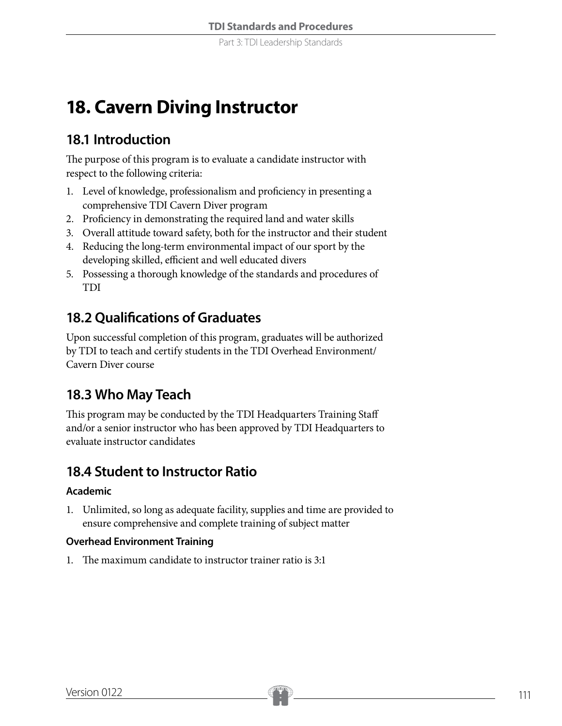# **18. Cavern Diving Instructor**

# **18.1 Introduction**

The purpose of this program is to evaluate a candidate instructor with respect to the following criteria:

- 1. Level of knowledge, professionalism and proficiency in presenting a comprehensive TDI Cavern Diver program
- 2. Proficiency in demonstrating the required land and water skills
- 3. Overall attitude toward safety, both for the instructor and their student
- 4. Reducing the long-term environmental impact of our sport by the developing skilled, efficient and well educated divers
- 5. Possessing a thorough knowledge of the standards and procedures of TDI

# **18.2 Qualifications of Graduates**

Upon successful completion of this program, graduates will be authorized by TDI to teach and certify students in the TDI Overhead Environment/ Cavern Diver course

# **18.3 Who May Teach**

This program may be conducted by the TDI Headquarters Training Staff and/or a senior instructor who has been approved by TDI Headquarters to evaluate instructor candidates

# **18.4 Student to Instructor Ratio**

### **Academic**

1. Unlimited, so long as adequate facility, supplies and time are provided to ensure comprehensive and complete training of subject matter

### **Overhead Environment Training**

1. The maximum candidate to instructor trainer ratio is 3:1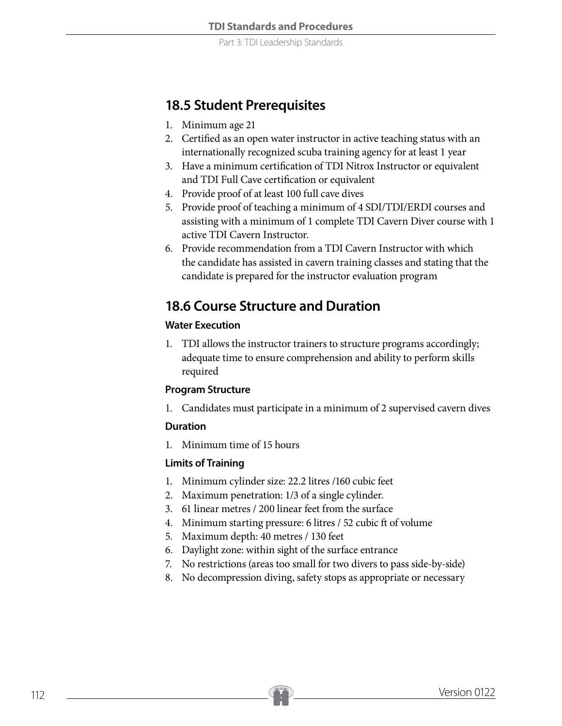Part 3: TDI Leadership Standards

### **18.5 Student Prerequisites**

- 1. Minimum age 21
- 2. Certified as an open water instructor in active teaching status with an internationally recognized scuba training agency for at least 1 year
- 3. Have a minimum certification of TDI Nitrox Instructor or equivalent and TDI Full Cave certification or equivalent
- 4. Provide proof of at least 100 full cave dives
- 5. Provide proof of teaching a minimum of 4 SDI/TDI/ERDI courses and assisting with a minimum of 1 complete TDI Cavern Diver course with 1 active TDI Cavern Instructor.
- 6. Provide recommendation from a TDI Cavern Instructor with which the candidate has assisted in cavern training classes and stating that the candidate is prepared for the instructor evaluation program

### **18.6 Course Structure and Duration**

### **Water Execution**

1. TDI allows the instructor trainers to structure programs accordingly; adequate time to ensure comprehension and ability to perform skills required

### **Program Structure**

1. Candidates must participate in a minimum of 2 supervised cavern dives

### **Duration**

1. Minimum time of 15 hours

### **Limits of Training**

- 1. Minimum cylinder size: 22.2 litres /160 cubic feet
- 2. Maximum penetration: 1/3 of a single cylinder.
- 3. 61 linear metres / 200 linear feet from the surface
- 4. Minimum starting pressure: 6 litres / 52 cubic ft of volume
- 5. Maximum depth: 40 metres / 130 feet
- 6. Daylight zone: within sight of the surface entrance
- 7. No restrictions (areas too small for two divers to pass side-by-side)
- 8. No decompression diving, safety stops as appropriate or necessary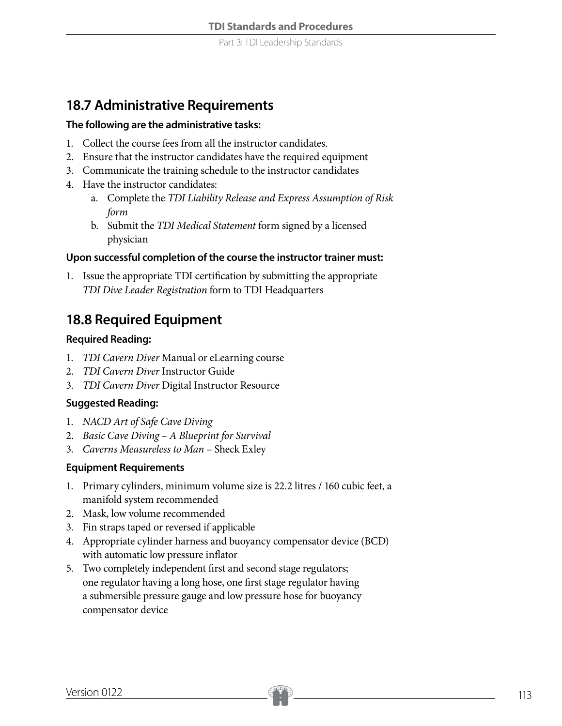### **18.7 Administrative Requirements**

#### **The following are the administrative tasks:**

- 1. Collect the course fees from all the instructor candidates.
- 2. Ensure that the instructor candidates have the required equipment
- 3. Communicate the training schedule to the instructor candidates
- 4. Have the instructor candidates:
	- a. Complete the *TDI Liability Release and Express Assumption of Risk form*
	- b. Submit the *TDI Medical Statement* form signed by a licensed physician

### **Upon successful completion of the course the instructor trainer must:**

1. Issue the appropriate TDI certification by submitting the appropriate *TDI Dive Leader Registration* form to TDI Headquarters

## **18.8 Required Equipment**

### **Required Reading:**

- 1. *TDI Cavern Diver* Manual or eLearning course
- 2. *TDI Cavern Diver* Instructor Guide
- 3. *TDI Cavern Diver* Digital Instructor Resource

### **Suggested Reading:**

- 1. *NACD Art of Safe Cave Diving*
- 2. *Basic Cave Diving A Blueprint for Survival*
- 3. *Caverns Measureless to Man*  Sheck Exley

### **Equipment Requirements**

- 1. Primary cylinders, minimum volume size is 22.2 litres / 160 cubic feet, a manifold system recommended
- 2. Mask, low volume recommended
- 3. Fin straps taped or reversed if applicable
- 4. Appropriate cylinder harness and buoyancy compensator device (BCD) with automatic low pressure inflator
- 5. Two completely independent first and second stage regulators; one regulator having a long hose, one first stage regulator having a submersible pressure gauge and low pressure hose for buoyancy compensator device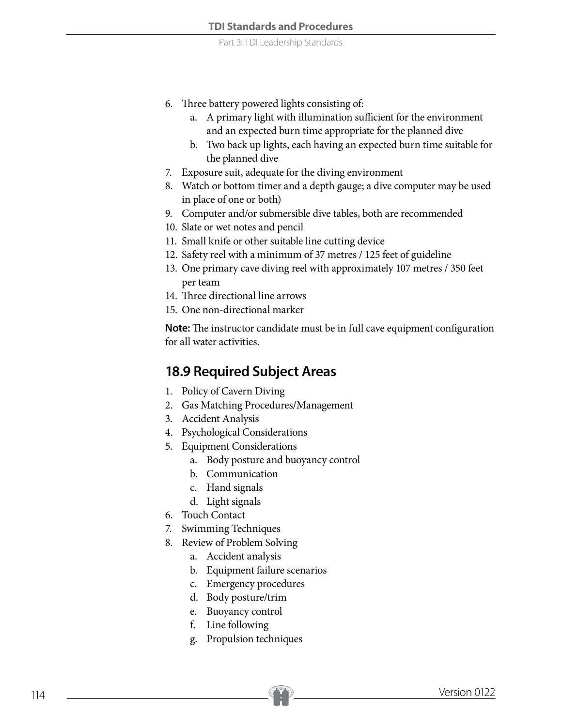- 6. Three battery powered lights consisting of:
	- a. A primary light with illumination sufficient for the environment and an expected burn time appropriate for the planned dive
	- b. Two back up lights, each having an expected burn time suitable for the planned dive
- 7. Exposure suit, adequate for the diving environment
- 8. Watch or bottom timer and a depth gauge; a dive computer may be used in place of one or both)
- 9. Computer and/or submersible dive tables, both are recommended
- 10. Slate or wet notes and pencil
- 11. Small knife or other suitable line cutting device
- 12. Safety reel with a minimum of 37 metres / 125 feet of guideline
- 13. One primary cave diving reel with approximately 107 metres / 350 feet per team
- 14. Three directional line arrows
- 15. One non-directional marker

**Note:** The instructor candidate must be in full cave equipment configuration for all water activities.

### **18.9 Required Subject Areas**

- 1. Policy of Cavern Diving
- 2. Gas Matching Procedures/Management
- 3. Accident Analysis
- 4. Psychological Considerations
- 5. Equipment Considerations
	- a. Body posture and buoyancy control
	- b. Communication
	- c. Hand signals
	- d. Light signals
- 6. Touch Contact
- 7. Swimming Techniques
- 8. Review of Problem Solving
	- a. Accident analysis
	- b. Equipment failure scenarios
	- c. Emergency procedures
	- d. Body posture/trim
	- e. Buoyancy control
	- f. Line following
	- g. Propulsion techniques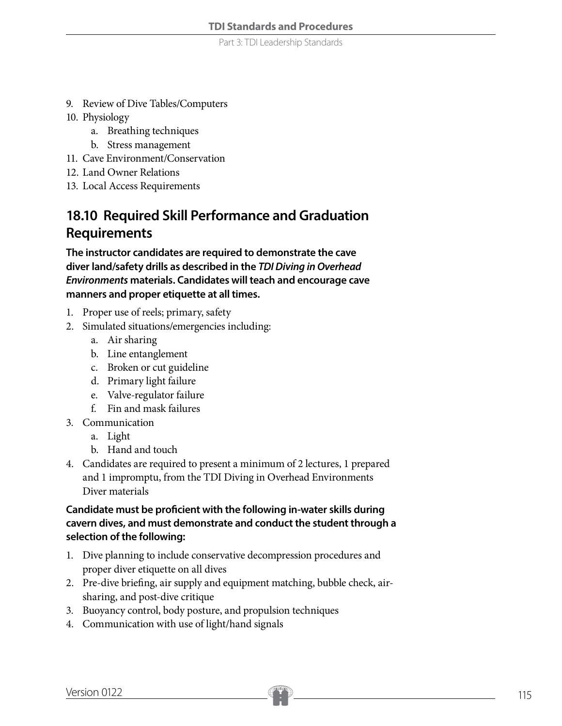Part 3: TDI Leadership Standards

- 9. Review of Dive Tables/Computers
- 10. Physiology
	- a. Breathing techniques
	- b. Stress management
- 11. Cave Environment/Conservation
- 12. Land Owner Relations
- 13. Local Access Requirements

# **18.10 Required Skill Performance and Graduation Requirements**

**The instructor candidates are required to demonstrate the cave diver land/safety drills as described in the** *TDI Diving in Overhead Environments* **materials. Candidates will teach and encourage cave manners and proper etiquette at all times.**

- 1. Proper use of reels; primary, safety
- 2. Simulated situations/emergencies including:
	- a. Air sharing
	- b. Line entanglement
	- c. Broken or cut guideline
	- d. Primary light failure
	- e. Valve-regulator failure
	- f. Fin and mask failures
- 3. Communication
	- a. Light
	- b. Hand and touch
- 4. Candidates are required to present a minimum of 2 lectures, 1 prepared and 1 impromptu, from the TDI Diving in Overhead Environments Diver materials

### **Candidate must be proficient with the following in-water skills during cavern dives, and must demonstrate and conduct the student through a selection of the following:**

- 1. Dive planning to include conservative decompression procedures and proper diver etiquette on all dives
- 2. Pre-dive briefing, air supply and equipment matching, bubble check, airsharing, and post-dive critique
- 3. Buoyancy control, body posture, and propulsion techniques
- 4. Communication with use of light/hand signals